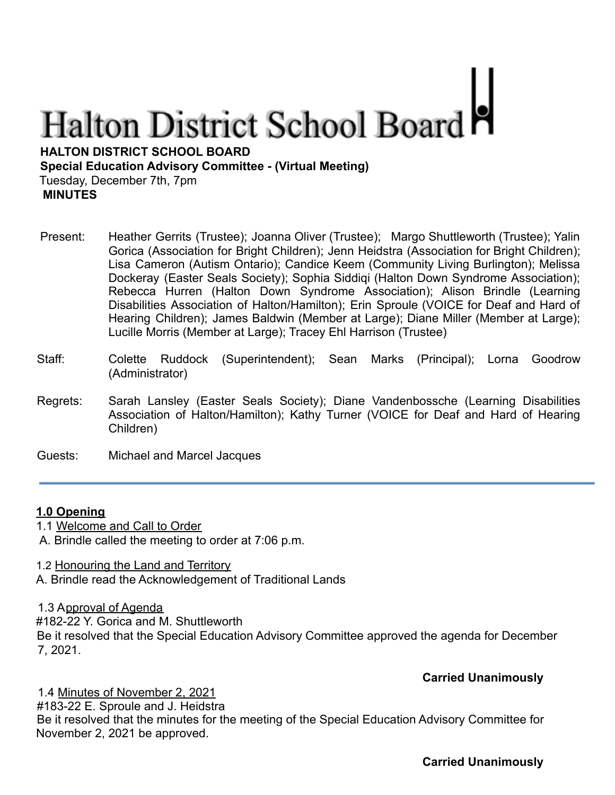# **Halton District School Board**

**HALTON DISTRICT SCHOOL BOARD**

**Special Education Advisory Committee - (Virtual Meeting)**

Tuesday, December 7th, 7pm **MINUTES**

- Present: Heather Gerrits (Trustee); Joanna Oliver (Trustee); Margo Shuttleworth (Trustee); Yalin Gorica (Association for Bright Children); Jenn Heidstra (Association for Bright Children); Lisa Cameron (Autism Ontario); Candice Keem (Community Living Burlington); Melissa Dockeray (Easter Seals Society); Sophia Siddiqi (Halton Down Syndrome Association); Rebecca Hurren (Halton Down Syndrome Association); Alison Brindle (Learning Disabilities Association of Halton/Hamilton); Erin Sproule (VOICE for Deaf and Hard of Hearing Children); James Baldwin (Member at Large); Diane Miller (Member at Large); Lucille Morris (Member at Large); Tracey Ehl Harrison (Trustee)
- Staff: Colette Ruddock (Superintendent); Sean Marks (Principal); Lorna Goodrow (Administrator)
- Regrets: Sarah Lansley (Easter Seals Society); Diane Vandenbossche (Learning Disabilities Association of Halton/Hamilton); Kathy Turner (VOICE for Deaf and Hard of Hearing Children)
- Guests: Michael and Marcel Jacques

### **1.0 Opening**

- 1.1 Welcome and Call to Order
- A. Brindle called the meeting to order at 7:06 p.m.

1.2 Honouring the Land and Territory

A. Brindle read the Acknowledgement of Traditional Lands

1.3 Approval of Agenda

#182-22 Y. Gorica and M. Shuttleworth

Be it resolved that the Special Education Advisory Committee approved the agenda for December 7, 2021.

**Carried Unanimously**

1.4 Minutes of November 2, 2021 #183-22 E. Sproule and J. Heidstra Be it resolved that the minutes for the meeting of the Special Education Advisory Committee for November 2, 2021 be approved.

**Carried Unanimously**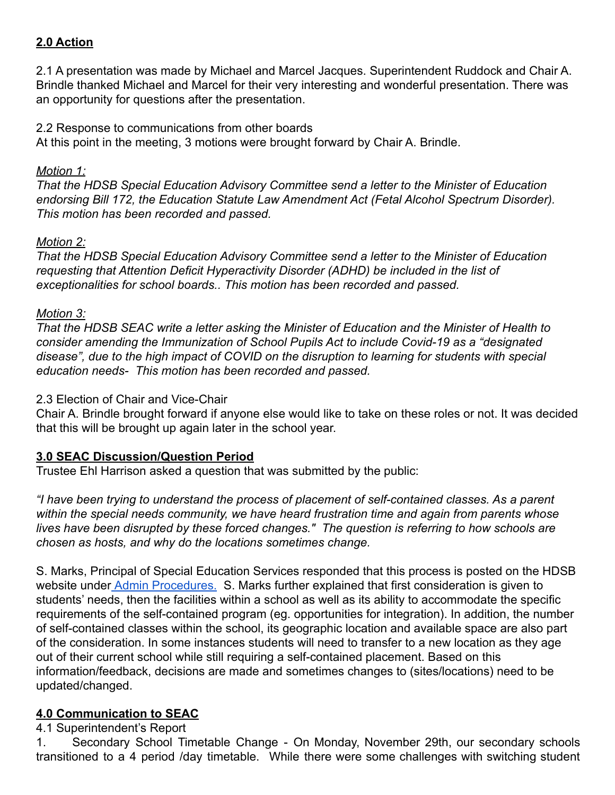## **2.0 Action**

2.1 A presentation was made by Michael and Marcel Jacques. Superintendent Ruddock and Chair A. Brindle thanked Michael and Marcel for their very interesting and wonderful presentation. There was an opportunity for questions after the presentation.

#### 2.2 Response to communications from other boards

At this point in the meeting, 3 motions were brought forward by Chair A. Brindle.

### *Motion 1:*

*That the HDSB Special Education Advisory Committee send a letter to the Minister of Education endorsing Bill 172, the Education Statute Law Amendment Act (Fetal Alcohol Spectrum Disorder). This motion has been recorded and passed.*

### *Motion 2:*

*That the HDSB Special Education Advisory Committee send a letter to the Minister of Education requesting that Attention Deficit Hyperactivity Disorder (ADHD) be included in the list of exceptionalities for school boards.. This motion has been recorded and passed.*

#### *Motion 3:*

*That the HDSB SEAC write a letter asking the Minister of Education and the Minister of Health to consider amending the Immunization of School Pupils Act to include Covid-19 as a "designated disease", due to the high impact of COVID on the disruption to learning for students with special education needs- This motion has been recorded and passed.*

### 2.3 Election of Chair and Vice-Chair

Chair A. Brindle brought forward if anyone else would like to take on these roles or not. It was decided that this will be brought up again later in the school year.

### **3.0 SEAC Discussion/Question Period**

Trustee Ehl Harrison asked a question that was submitted by the public:

*"I have been trying to understand the process of placement of self-contained classes. As a parent within the special needs community, we have heard frustration time and again from parents whose lives have been disrupted by these forced changes." The question is referring to how schools are chosen as hosts, and why do the locations sometimes change.*

S. Marks, Principal of Special Education Services responded that this process is posted on the HDSB website under [Admin Procedures.](https://www.hdsb.ca/our-board/Policy/SelfContainedClasses.pdf) S. Marks further explained that first consideration is given to students' needs, then the facilities within a school as well as its ability to accommodate the specific requirements of the self-contained program (eg. opportunities for integration). In addition, the number of self-contained classes within the school, its geographic location and available space are also part of the consideration. In some instances students will need to transfer to a new location as they age out of their current school while still requiring a self-contained placement. Based on this information/feedback, decisions are made and sometimes changes to (sites/locations) need to be updated/changed.

### **4.0 Communication to SEAC**

### 4.1 Superintendent's Report

1. Secondary School Timetable Change - On Monday, November 29th, our secondary schools transitioned to a 4 period /day timetable. While there were some challenges with switching student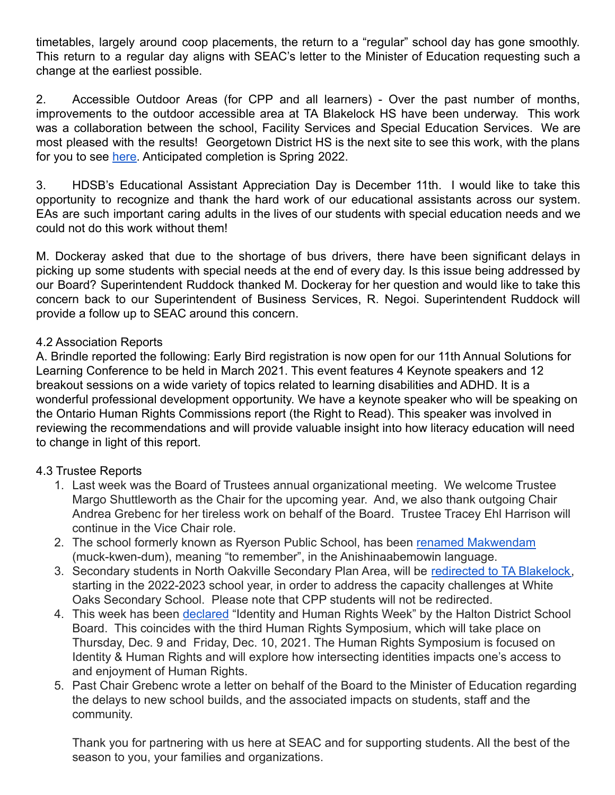timetables, largely around coop placements, the return to a "regular" school day has gone smoothly. This return to a regular day aligns with SEAC's letter to the Minister of Education requesting such a change at the earliest possible.

2. Accessible Outdoor Areas (for CPP and all learners) - Over the past number of months, improvements to the outdoor accessible area at TA Blakelock HS have been underway. This work was a collaboration between the school, Facility Services and Special Education Services. We are most pleased with the results! Georgetown District HS is the next site to see this work, with the plans for you to see [here](https://drive.google.com/file/d/138hah2Resz5sa85vTwIDgyHuGGlVvc-I/view?usp=sharing). Anticipated completion is Spring 2022.

3. HDSB's Educational Assistant Appreciation Day is December 11th. I would like to take this opportunity to recognize and thank the hard work of our educational assistants across our system. EAs are such important caring adults in the lives of our students with special education needs and we could not do this work without them!

M. Dockeray asked that due to the shortage of bus drivers, there have been significant delays in picking up some students with special needs at the end of every day. Is this issue being addressed by our Board? Superintendent Ruddock thanked M. Dockeray for her question and would like to take this concern back to our Superintendent of Business Services, R. Negoi. Superintendent Ruddock will provide a follow up to SEAC around this concern.

### 4.2 Association Reports

A. Brindle reported the following: Early Bird registration is now open for our 11th Annual Solutions for Learning Conference to be held in March 2021. This event features 4 Keynote speakers and 12 breakout sessions on a wide variety of topics related to learning disabilities and ADHD. It is a wonderful professional development opportunity. We have a keynote speaker who will be speaking on the Ontario Human Rights Commissions report (the Right to Read). This speaker was involved in reviewing the recommendations and will provide valuable insight into how literacy education will need to change in light of this report.

### 4.3 Trustee Reports

- 1. Last week was the Board of Trustees annual organizational meeting. We welcome Trustee Margo Shuttleworth as the Chair for the upcoming year. And, we also thank outgoing Chair Andrea Grebenc for her tireless work on behalf of the Board. Trustee Tracey Ehl Harrison will continue in the Vice Chair role.
- 2. The school formerly known as Ryerson Public School, has been [renamed Makwendam](https://drive.google.com/file/d/1m5XHCLTqpX2YnLvRe0MtBtes0zCaYBCp/view) (muck-kwen-dum), meaning "to remember", in the Anishinaabemowin language.
- 3. Secondary students in North Oakville Secondary Plan Area, will be [redirected to TA Blakelock,](https://drive.google.com/file/d/1rbIe-aU5CjvNf6OLgFU8qrHuEjeQ6exJ/view) starting in the 2022-2023 school year, in order to address the capacity challenges at White Oaks Secondary School. Please note that CPP students will not be redirected.
- 4. This week has been [declared](https://drive.google.com/file/d/1E_sJ2cahcqKNV-9lgLnxJtVXxUKyAjZf/view) "Identity and Human Rights Week" by the Halton District School Board. This coincides with the third Human Rights Symposium, which will take place on Thursday, Dec. 9 and Friday, Dec. 10, 2021. The Human Rights Symposium is focused on Identity & Human Rights and will explore how intersecting identities impacts one's access to and enjoyment of Human Rights.
- 5. Past Chair Grebenc wrote a letter on behalf of the Board to the Minister of Education regarding the delays to new school builds, and the associated impacts on students, staff and the community.

Thank you for partnering with us here at SEAC and for supporting students. All the best of the season to you, your families and organizations.